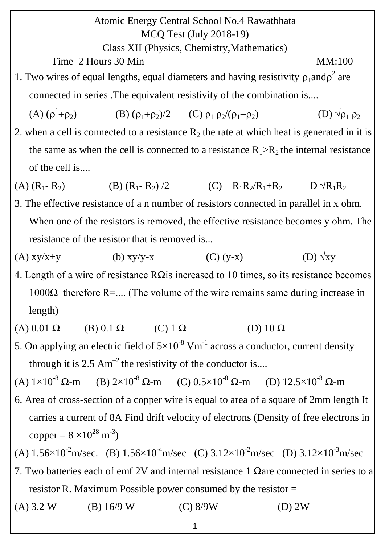Atomic Energy Central School No.4 Rawatbhata MCQ Test (July 2018-19) Class XII (Physics, Chemistry,Mathematics)  $Time\ 2$  Hours 30 Min MM:100 1. Two wires of equal lengths, equal diameters and having resistivity  $\rho_1$  and  $\rho^2$  are connected in series .The equivalent resistivity of the combination is.... (A)  $(\rho^1)$ (B)  $(\rho_1 + \rho_2)/2$  (C)  $\rho_1 \rho_2/(\rho_1 + \rho_2)$  (D)  $\sqrt{\rho_1 \rho_2}$ 2. when a cell is connected to a resistance  $R_2$  the rate at which heat is generated in it is the same as when the cell is connected to a resistance  $R_1 > R_2$  the internal resistance of the cell is.... (A)  $(R_1 - R_2)$  (B)  $(R_1 - R_2) /2$  (C)  $R_1R_2/R_1 + R_2$  D  $\sqrt{R_1R_2}$ 3. The effective resistance of a n number of resistors connected in parallel in x ohm. When one of the resistors is removed, the effective resistance becomes y ohm. The resistance of the resistor that is removed is... (A)  $xy/x+y$  (b)  $xy/y-x$  (C)  $(y-x)$  (D)  $\sqrt{xy}$ 4. Length of a wire of resistance R $\Omega$ is increased to 10 times, so its resistance becomes 1000Ω therefore R=.... (The volume of the wire remains same during increase in length) (A)  $0.01 \Omega$  (B)  $0.1 \Omega$  (C)  $1 \Omega$  (D)  $10 \Omega$ 5. On applying an electric field of  $5\times10^{-8}$  Vm<sup>-1</sup> across a conductor, current density through it is 2.5  $\text{Am}^{-2}$  the resistivity of the conductor is... (A)  $1\times10^{-8}$  Ω-m (B)  $2\times10^{-8}$  Ω-m (C)  $0.5\times10^{-8}$  Ω-m (D)  $12.5\times10^{-8}$  Ω-m 6. Area of cross-section of a copper wire is equal to area of a square of 2mm length It carries a current of 8A Find drift velocity of electrons (Density of free electrons in copper =  $8 \times 10^{28}$  m<sup>-3</sup>) (A)  $1.56 \times 10^{-2}$  m/sec. (B)  $1.56 \times 10^{-4}$  m/sec (C)  $3.12 \times 10^{-2}$  m/sec (D)  $3.12 \times 10^{-3}$  m/sec 7. Two batteries each of emf 2V and internal resistance 1  $\Omega$ are connected in series to a resistor R. Maximum Possible power consumed by the resistor = (A)  $3.2 \text{ W}$  (B)  $16/9 \text{ W}$  (C)  $8/9\text{ W}$  (D)  $2\text{ W}$ 

1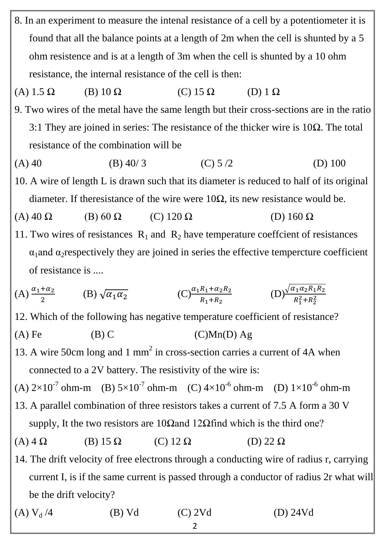- 8. In an experiment to measure the intenal resistance of a cell by a potentiometer it is found that all the balance points at a length of 2m when the cell is shunted by a 5 ohm resistence and is at a length of 3m when the cell is shunted by a 10 ohm resistance, the internal resistance of the cell is then:
- (A) 1.5 Ω (B) 10 Ω (C) 15 Ω (D) 1 Ω
- 9. Two wires of the metal have the same length but their cross-sections are in the ratio 3:1 They are joined in series: The resistance of the thicker wire is  $10\Omega$ . The total resistance of the combination will be
- (A) 40 (B) 40/ 3 (C) 5 /2 (D) 100
- 10. A wire of length L is drawn such that its diameter is reduced to half of its original diameter. If theresistance of the wire were  $10\Omega$ , its new resistance would be.
- (A) 40  $\Omega$  (B) 60  $\Omega$  (C) 120  $\Omega$  (D) 160  $\Omega$
- 11. Two wires of resistances  $R_1$  and  $R_2$  have temperature coeffcient of resistances  $\alpha_1$ and  $\alpha_2$ respectively they are joined in series the effective tempercture coefficient of resistance is ....

(A) 
$$
\frac{\alpha_1 + \alpha_2}{2}
$$
 (B)  $\sqrt{\alpha_1 \alpha_2}$  (C)  $\frac{\alpha_1 R_1 + \alpha_2 R_2}{R_1 + R_2}$  (D)  $\frac{\sqrt{\alpha_1 \alpha_2 R_1 R_2}}{R_1^2 + R_2^2}$ 

- 12. Which of the following has negative temperature coefficient of resistance?
- (A) Fe  $(B)$  C  $(C)Mn(D)$  Ag
- 13. A wire 50cm long and 1 mm<sup>2</sup> in cross-section carries a current of 4A when connected to a 2V battery. The resistivity of the wire is:
- (A)  $2\times10^{-7}$  ohm-m (B)  $5\times10^{-7}$  ohm-m (C)  $4\times10^{-6}$  ohm-m (D)  $1\times10^{-6}$  ohm-m
- 13. A parallel combination of three resistors takes a current of 7.5 A form a 30 V supply, It the two resistors are 10Ωand 12Ωfind which is the third one?
- (A)  $4 \Omega$  (B) 15  $\Omega$  (C) 12  $\Omega$  (D) 22  $\Omega$
- 14. The drift velocity of free electrons through a conducting wire of radius r, carrying current I, is if the same current is passed through a conductor of radius 2r what will be the drift velocity?

(A)  $V_d /4$  (B) Vd (C) 2Vd (D) 24Vd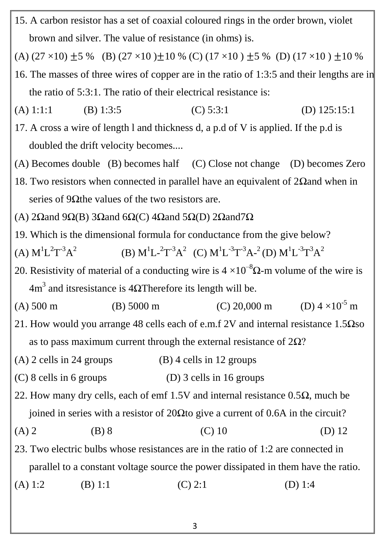15. A carbon resistor has a set of coaxial coloured rings in the order brown, violet brown and silver. The value of resistance (in ohms) is.

(A)  $(27 \times 10) \pm 5$  % (B)  $(27 \times 10) \pm 10$  % (C)  $(17 \times 10) \pm 5$  % (D)  $(17 \times 10) \pm 10$  %

- 16. The masses of three wires of copper are in the ratio of 1:3:5 and their lengths are in the ratio of 5:3:1. The ratio of their electrical resistance is:
- (A) 1:1:1 (B) 1:3:5 (C) 5:3:1 (D) 125:15:1
- 17. A cross a wire of length l and thickness d, a p.d of V is applied. If the p.d is doubled the drift velocity becomes....
- (A) Becomes double (B) becomes half (C) Close not change (D) becomes Zero
- 18. Two resistors when connected in parallel have an equivalent of 2Ωand when in series of 9 $\Omega$ the values of the two resistors are.
- (A) 2Ωand 9Ω(B) 3Ωand 6Ω(C) 4Ωand 5Ω(D) 2Ωand 7Ω
- 19. Which is the dimensional formula for conductance from the give below?
- $(A) M^{1}L^{2}T^{-3}A^{2}$ (B)  $M^{1}L^{-2}T^{-3}A^{2}$  (C)  $M^{1}L^{-3}T^{-3}A^{-2}$  (D)  $M^{1}L^{-3}T^{3}A^{2}$
- 20. Resistivity of material of a conducting wire is  $4 \times 10^{-8} \Omega$ -m volume of the wire is  $4m<sup>3</sup>$  and itsresistance is 4ΩTherefore its length will be.
- (A)  $500 \text{ m}$  (B)  $5000 \text{ m}$  (C)  $20,000 \text{ m}$ (D)  $4 \times 10^{-5}$  m
- 21. How would you arrange 48 cells each of e.m.f 2V and internal resistance  $1.5\Omega$ so as to pass maximum current through the external resistance of  $2\Omega$ ?
- (A) 2 cells in 24 groups (B) 4 cells in 12 groups
- (C) 8 cells in 6 groups (D) 3 cells in 16 groups
- 22. How many dry cells, each of emf 1.5V and internal resistance  $0.5\Omega$ , much be joined in series with a resistor of 20Ωto give a current of 0.6A in the circuit?
- (A) 2 (B) 8 (C) 10 (D) 12

23. Two electric bulbs whose resistances are in the ratio of 1:2 are connected in parallel to a constant voltage source the power dissipated in them have the ratio.

(A) 1:2 (B) 1:1 (C) 2:1 (D) 1:4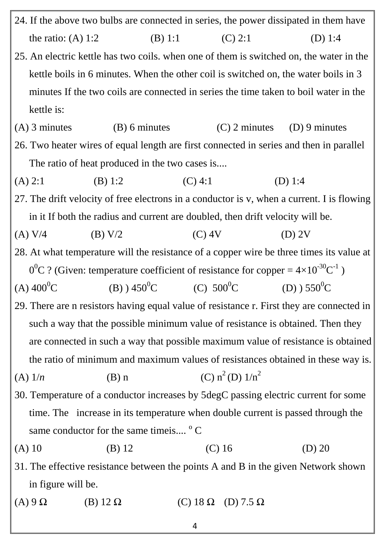24. If the above two bulbs are connected in series, the power dissipated in them have the ratio: (A) 1:2 (B) 1:1 (C) 2:1 (D) 1:4 25. An electric kettle has two coils. when one of them is switched on, the water in the kettle boils in 6 minutes. When the other coil is switched on, the water boils in 3 minutes If the two coils are connected in series the time taken to boil water in the kettle is: (A) 3 minutes (B) 6 minutes (C) 2 minutes (D) 9 minutes 26. Two heater wires of equal length are first connected in series and then in parallel The ratio of heat produced in the two cases is.... (A) 2:1 (B) 1:2 (C) 4:1 (D) 1:4 27. The drift velocity of free electrons in a conductor is v, when a current. I is flowing in it If both the radius and current are doubled, then drift velocity will be. (A) V/4 (B) V/2 (C) 4V (D) 2V 28. At what temperature will the resistance of a copper wire be three times its value at  $0^0C$  ? (Given: temperature coefficient of resistance for copper =  $4\times10^{-30}C^{-1}$ ) (A)  $400^{\circ}$ C (B)  $) 450^{\circ}$ C (C)  $500^{\circ}$ C (D)  $) 550^{\circ}$ C 29. There are n resistors having equal value of resistance r. First they are connected in such a way that the possible minimum value of resistance is obtained. Then they are connected in such a way that possible maximum value of resistance is obtained the ratio of minimum and maximum values of resistances obtained in these way is. (A)  $1/n$  (B) n (C)  $n^2$  (D)  $1/n^2$ 30. Temperature of a conductor increases by 5degC passing electric current for some time. The increase in its temperature when double current is passed through the same conductor for the same timeis....  $\circ$  C (A) 10 (B) 12 (C) 16 (D) 20 31. The effective resistance between the points A and B in the given Network shown in figure will be. (A) 9  $\Omega$  (B) 12  $\Omega$  (C) 18  $\Omega$  (D) 7.5  $\Omega$ 

4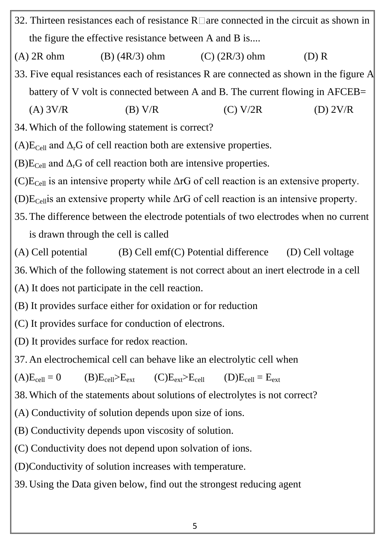- 32. Thirteen resistances each of resistance  $R \Box$  are connected in the circuit as shown in the figure the effective resistance between A and B is....
- (A)  $2R \text{ ohm}$  (B) (4R/3) ohm (C) (2R/3) ohm (D) R
- 33. Five equal resistances each of resistances R are connected as shown in the figure A battery of V volt is connected between A and B. The current flowing in AFCEB=
	- (A)  $3V/R$  (B)  $V/R$  (C)  $V/2R$  (D)  $2V/R$
- 34.Which of the following statement is correct?
- $(A)E_{Cell}$  and  $\Delta_{r}G$  of cell reaction both are extensive properties.
- $(B)E_{Cell}$  and  $\Delta_r G$  of cell reaction both are intensive properties.
- $(C)E_{Cell}$  is an intensive property while  $\Delta rG$  of cell reaction is an extensive property.
- (D) $E_{Cell}$  an extensive property while  $\Delta r$ G of cell reaction is an intensive property.
- 35. The difference between the electrode potentials of two electrodes when no current is drawn through the cell is called
- (A) Cell potential  $(B)$  Cell emf(C) Potential difference  $(D)$  Cell voltage
- 36.Which of the following statement is not correct about an inert electrode in a cell
- (A) It does not participate in the cell reaction.
- (B) It provides surface either for oxidation or for reduction
- (C) It provides surface for conduction of electrons.
- (D) It provides surface for redox reaction.
- 37. An electrochemical cell can behave like an electrolytic cell when

 $(A)E_{cell} = 0$   $(B)E_{cell} > E_{ext}$   $(C)E_{ext} > E_{cell}$   $(D)E_{cell} = E_{ext}$ 

38.Which of the statements about solutions of electrolytes is not correct?

(A) Conductivity of solution depends upon size of ions.

(B) Conductivity depends upon viscosity of solution.

(C) Conductivity does not depend upon solvation of ions.

(D)Conductivity of solution increases with temperature.

39. Using the Data given below, find out the strongest reducing agent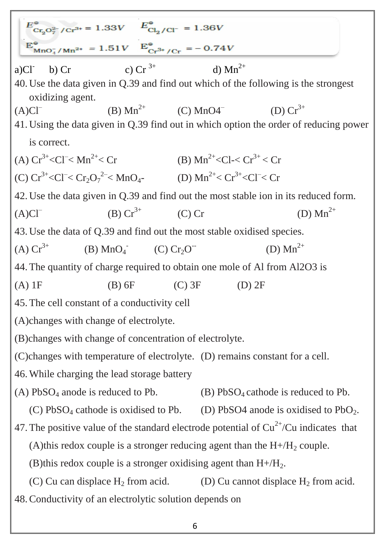|                                                                               | $E_{\text{Cr}_2\text{O}_7^{2-}/\text{Cr}^{3+}}^{\circ} = 1.33V$ $E_{\text{Cl}_2/\text{Cl}^-}^{\circ} = 1.36V$<br>$E_{\text{MnO}_4^+/\text{Mn}^{2+}}^{\circ} = 1.51V$ $E_{\text{Cr}^{3+}/\text{Cr}}^{\circ} = -0.74V$ |                                          |              |                                                                                           |  |  |
|-------------------------------------------------------------------------------|----------------------------------------------------------------------------------------------------------------------------------------------------------------------------------------------------------------------|------------------------------------------|--------------|-------------------------------------------------------------------------------------------|--|--|
| a)CI<br>$b)$ Cr                                                               | c) Cr $3^{+}$                                                                                                                                                                                                        |                                          | d) $Mn^{2+}$ |                                                                                           |  |  |
| oxidizing agent.                                                              |                                                                                                                                                                                                                      |                                          |              | 40. Use the data given in Q.39 and find out which of the following is the strongest       |  |  |
| $(A)CI^{-}$                                                                   | (B) $Mn^{2+}$ (C) $MnO4$ <sup>-</sup> (D) $Cr^{3+}$                                                                                                                                                                  |                                          |              |                                                                                           |  |  |
|                                                                               |                                                                                                                                                                                                                      |                                          |              | 41. Using the data given in Q.39 find out in which option the order of reducing power     |  |  |
| is correct.                                                                   |                                                                                                                                                                                                                      |                                          |              |                                                                                           |  |  |
| (A) $Cr^{3+} < Cl^- < Mn^{2+} < Cr$                                           |                                                                                                                                                                                                                      | (B) $Mn^{2+} < C1 < Cr^{3+} < Cr$        |              |                                                                                           |  |  |
|                                                                               | (C) $Cr^{3+} < Cl^- < Cr_2O_7^{2-} < MnO_4$ (D) $Mn^{2+} < Cr^{3+} < Cl^- < Cr$                                                                                                                                      |                                          |              |                                                                                           |  |  |
|                                                                               |                                                                                                                                                                                                                      |                                          |              | 42. Use the data given in Q.39 and find out the most stable ion in its reduced form.      |  |  |
| $(A)CI^{-}$                                                                   | (B) $Cr^{3+}$ (C) Cr                                                                                                                                                                                                 |                                          |              | (D) $Mn^{2+}$                                                                             |  |  |
|                                                                               | 43. Use the data of Q.39 and find out the most stable oxidised species.                                                                                                                                              |                                          |              |                                                                                           |  |  |
| $(A) Cr^{3+}$                                                                 | (B) $MnO_4$ (C) $Cr_2O^-$                                                                                                                                                                                            |                                          |              | (D) $Mn^{2+}$                                                                             |  |  |
|                                                                               | 44. The quantity of charge required to obtain one mole of Al from Al2O3 is                                                                                                                                           |                                          |              |                                                                                           |  |  |
| $(A)$ 1F                                                                      | $(B) 6F$ (C) 3F                                                                                                                                                                                                      |                                          | $(D)$ 2F     |                                                                                           |  |  |
|                                                                               | 45. The cell constant of a conductivity cell                                                                                                                                                                         |                                          |              |                                                                                           |  |  |
|                                                                               | (A) changes with change of electrolyte.                                                                                                                                                                              |                                          |              |                                                                                           |  |  |
|                                                                               | (B)changes with change of concentration of electrolyte.                                                                                                                                                              |                                          |              |                                                                                           |  |  |
| (C) changes with temperature of electrolyte. (D) remains constant for a cell. |                                                                                                                                                                                                                      |                                          |              |                                                                                           |  |  |
|                                                                               | 46. While charging the lead storage battery                                                                                                                                                                          |                                          |              |                                                                                           |  |  |
| (A) $PbSO_4$ anode is reduced to Pb.                                          |                                                                                                                                                                                                                      | $(B) PbSO4$ cathode is reduced to Pb.    |              |                                                                                           |  |  |
| $(C) PbSO4$ cathode is oxidised to Pb.                                        |                                                                                                                                                                                                                      | (D) PbSO4 anode is oxidised to $PbO_2$ . |              |                                                                                           |  |  |
|                                                                               |                                                                                                                                                                                                                      |                                          |              | 47. The positive value of the standard electrode potential of $Cu^{2+}/Cu$ indicates that |  |  |
|                                                                               | (A) this redox couple is a stronger reducing agent than the $H + / H2$ couple.                                                                                                                                       |                                          |              |                                                                                           |  |  |
|                                                                               | (B) this redox couple is a stronger oxidising agent than $H + / H_2$ .                                                                                                                                               |                                          |              |                                                                                           |  |  |
|                                                                               | (C) Cu can displace $H_2$ from acid.                                                                                                                                                                                 |                                          |              | (D) Cu cannot displace $H_2$ from acid.                                                   |  |  |
|                                                                               | 48. Conductivity of an electrolytic solution depends on                                                                                                                                                              |                                          |              |                                                                                           |  |  |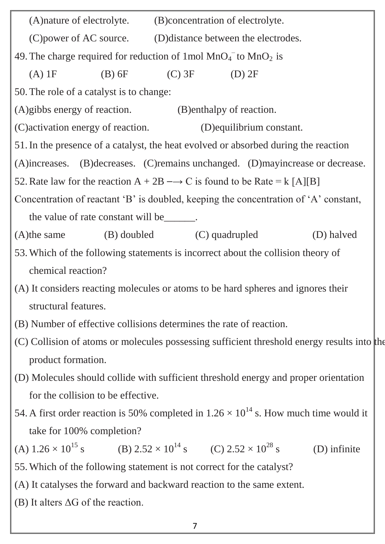| (A) nature of electrolyte.<br>(B) concentration of electrolyte.                                       |  |  |  |  |  |
|-------------------------------------------------------------------------------------------------------|--|--|--|--|--|
| (C) power of AC source.<br>(D) distance between the electrodes.                                       |  |  |  |  |  |
| 49. The charge required for reduction of 1 mol $MnO4$ to $MnO2$ is                                    |  |  |  |  |  |
| $(B)$ 6F<br>$(C)$ 3F<br>$(A)$ 1F<br>$(D)$ 2F                                                          |  |  |  |  |  |
| 50. The role of a catalyst is to change:                                                              |  |  |  |  |  |
| (A)gibbs energy of reaction. (B)enthalpy of reaction.                                                 |  |  |  |  |  |
| (C) activation energy of reaction.<br>(D) equilibrium constant.                                       |  |  |  |  |  |
| 51. In the presence of a catalyst, the heat evolved or absorbed during the reaction                   |  |  |  |  |  |
| (A)increases. (B)decreases. (C)remains unchanged. (D)mayincrease or decrease.                         |  |  |  |  |  |
| 52. Rate law for the reaction $A + 2B \rightarrow C$ is found to be Rate = k [A][B]                   |  |  |  |  |  |
| Concentration of reactant 'B' is doubled, keeping the concentration of 'A' constant,                  |  |  |  |  |  |
| the value of rate constant will be _______.                                                           |  |  |  |  |  |
| (B) doubled (C) quadrupled<br>$(A)$ the same<br>(D) halved                                            |  |  |  |  |  |
| 53. Which of the following statements is incorrect about the collision theory of                      |  |  |  |  |  |
| chemical reaction?                                                                                    |  |  |  |  |  |
| (A) It considers reacting molecules or atoms to be hard spheres and ignores their                     |  |  |  |  |  |
| structural features.                                                                                  |  |  |  |  |  |
| (B) Number of effective collisions determines the rate of reaction.                                   |  |  |  |  |  |
| (C) Collision of atoms or molecules possessing sufficient threshold energy results into the           |  |  |  |  |  |
| product formation.                                                                                    |  |  |  |  |  |
| (D) Molecules should collide with sufficient threshold energy and proper orientation                  |  |  |  |  |  |
| for the collision to be effective.                                                                    |  |  |  |  |  |
| 54. A first order reaction is 50% completed in $1.26 \times 10^{14}$ s. How much time would it        |  |  |  |  |  |
| take for 100% completion?                                                                             |  |  |  |  |  |
| (A) $1.26 \times 10^{15}$ s (B) $2.52 \times 10^{14}$ s (C) $2.52 \times 10^{28}$ s<br>$(D)$ infinite |  |  |  |  |  |
| 55. Which of the following statement is not correct for the catalyst?                                 |  |  |  |  |  |
| (A) It catalyses the forward and backward reaction to the same extent.                                |  |  |  |  |  |

(B) It alters  $\Delta G$  of the reaction.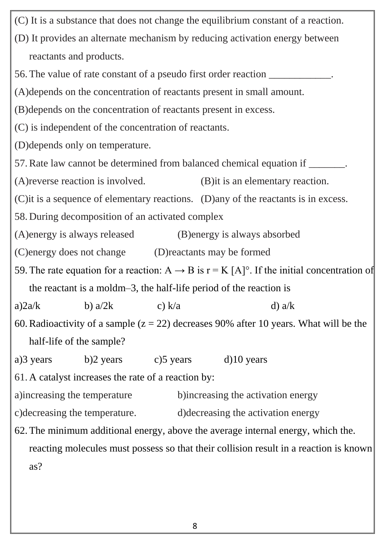(C) It is a substance that does not change the equilibrium constant of a reaction. (D) It provides an alternate mechanism by reducing activation energy between reactants and products. 56. The value of rate constant of a pseudo first order reaction (A)depends on the concentration of reactants present in small amount. (B)depends on the concentration of reactants present in excess. (C) is independent of the concentration of reactants. (D)depends only on temperature. 57.Rate law cannot be determined from balanced chemical equation if \_\_\_\_\_\_\_. (A)reverse reaction is involved. (B)it is an elementary reaction. (C)it is a sequence of elementary reactions. (D)any of the reactants is in excess. 58. During decomposition of an activated complex (A)energy is always released (B)energy is always absorbed (C)energy does not change (D)reactants may be formed 59. The rate equation for a reaction:  $A \rightarrow B$  is  $r = K [A]^\circ$ . If the initial concentration of the reactant is a moldm–3, the half-life period of the reaction is a)2a/k b) a/2k c) k/a d) a/k 60. Radioactivity of a sample  $(z = 22)$  decreases 90% after 10 years. What will be the half-life of the sample? a)3 years b)2 years c)5 years d)10 years 61. A catalyst increases the rate of a reaction by: a)increasing the temperature b)increasing the activation energy c)decreasing the temperature. d)decreasing the activation energy 62. The minimum additional energy, above the average internal energy, which the. reacting molecules must possess so that their collision result in a reaction is known as?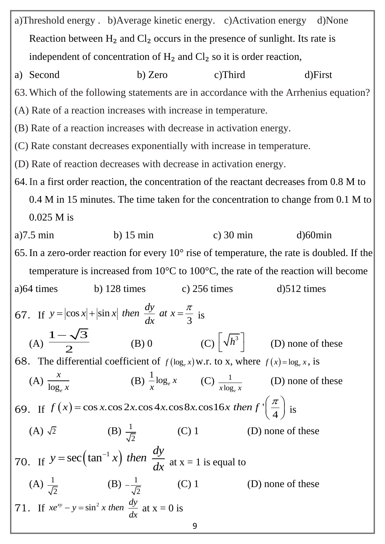9 a)Threshold energy . b)Average kinetic energy. c)Activation energy d)None Reaction between  $H_2$  and  $Cl_2$  occurs in the presence of sunlight. Its rate is independent of concentration of  $H_2$  and  $Cl_2$  so it is order reaction, a) Second b) Zero c)Third d)First 63.Which of the following statements are in accordance with the Arrhenius equation? (A) Rate of a reaction increases with increase in temperature. (B) Rate of a reaction increases with decrease in activation energy. (C) Rate constant decreases exponentially with increase in temperature. (D) Rate of reaction decreases with decrease in activation energy. 64.In a first order reaction, the concentration of the reactant decreases from 0.8 M to 0.4 M in 15 minutes. The time taken for the concentration to change from 0.1 M to 0.025 M is a)7.5 min b) 15 min c) 30 min d)60min 65.In a zero-order reaction for every 10° rise of temperature, the rate is doubled. If the temperature is increased from 10°C to 100°C, the rate of the reaction will become a)64 times b) 128 times c) 256 times d)512 times 67. If  $y = |\cos x| + |\sin x|$  then  $\frac{dy}{dx}$  at  $x = \frac{\pi}{3}$ π  $=$  $|\cos x| + |\sin x|$  then  $\frac{dy}{dx}$  at  $x = \frac{\pi}{2}$  is (A)  $1 - \sqrt{3}$  $\frac{1}{2}$  $\overline{\phantom{0}}$ (B) 0 (C)  $\left[\sqrt{h^3}\right]$  (D) none of these 68. The differential coefficient of  $f(\log_e x)$  w.r. to x, where  $f(x) = \log_e x$ , is (A) log*<sup>e</sup> x x* (B) 1  $\log_e x$ *x*  $(C)$   $\frac{1}{1}$  $x \log_e x$ (D) none of these (A)  $\frac{x}{\log_e x}$  (B)  $\frac{1}{x} \log_e x$  (C)  $\frac{1}{x \log_e x}$  (D) none of<br>69. If  $f(x) = \cos x \cdot \cos 2x \cdot \cos 4x \cdot \cos 8x \cdot \cos 16x$  then  $f'(\frac{\pi}{4})$  is (B)  $\frac{-\log_e x}{x}$  (C)  $\frac{1}{x \log_e x}$  (D) none of<br>= cos x.cos 2x.cos 4x.cos 8x.cos 16x then  $f'(\frac{\pi}{4})$  is is (A)  $\sqrt{2}$ (B)  $\frac{1}{\tau}$ 2 (C) 1 (D) none of these 70. If  $y = sec(tan^{-1} x)$  $y = \sec(\tan^{-1} x)$  then  $\frac{dy}{dx}$ *dx*  $=\sec(\tan^{-1} x)$  then  $\frac{dy}{dx}$  at x = 1 is equal to  $(A) \frac{1}{\tau}$ 2  $(B) -\frac{1}{4}$ 2 (C) 1 (D) none of these 71. If  $xe^{xy} - y = \sin^2 x$  then  $\frac{dy}{dx}$ *dx*  $-y = \sin^2 x$  then  $\frac{dy}{dx}$  at  $x = 0$  is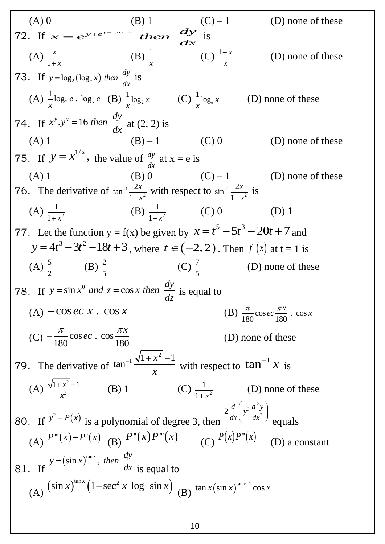(A) 0 (B) 1 (C) – 1 (D) none of these 72. If *y*+...*to* ∞ (B) 1 (C)<br>  $x = e^{y + e^{y + \dots to \infty}}$  then  $\frac{dy}{dx}$  is (A) 1 *x x*  $(B)$ <sup>1</sup> *x* (C)  $\frac{1-x}{x}$ *x*  $\overline{a}$ (D) none of these 73. If  $y = \log_2(\log_e x)$  then  $\frac{dy}{dx}$  $=\log_2(\log_e x)$  then  $\frac{dy}{dx}$  is  $(A)$   $\frac{1}{2}$ log<sub>2</sub>  $\frac{1}{2}$ log<sub>2</sub> e . log<sub>x</sub> e *x*  $(B) \frac{1}{2} \log_2$  $\frac{1}{2}$ log<sub>2</sub> x *x*  $(C)$   $\frac{1}{\log_e}$ *x x* (D) none of these 74. If  $x^y \cdot y^x = 16$  then  $\frac{dy}{dx}$ *dx* =16 then  $\frac{dy}{dx}$  at (2, 2) is (A) 1 (B) – 1 (C) 0 (D) none of these 75. If  $y = x^{1/x}$ , the value of  $\frac{dy}{dx}$ *dx* at  $x = e$  is (A) 1 (B) 0 (C) – 1 (D) none of these 76. The derivative of  $tan^{-1}$ 2  $\tan^{-1} \frac{2}{\cdot}$ 1 *x x* - $\overline{a}$ with respect to  $sin^{-1}$ 2  $\sin^{-1}\frac{2}{\sqrt{2}}$ 1 *x x*  $\overline{a}$  $\overline{+}$ is  $(A) \frac{1}{1+x^2}$ 1  $1 + x$  $(B) \frac{1}{1-x^2}$ 1  $1 - x$  $(C) 0$  (D) 1 77. Let the function  $y = f(x)$  be given by  $x = t^5 - 5t^3 - 20t + 7$  and  $y = 4t^3 - 3t^2 - 18t + 3$ , where  $t \in (-2, 2)$ . Then  $f'(x)$  at  $t = 1$  is  $(A) \frac{5}{2}$ 2 (B)  $\frac{2}{7}$ 5 (C)  $\frac{7}{7}$ 5 (D) none of these 78. If  $y = \sin x^0$  $y = \sin x^0$  *and*  $z = \cos x$  *then*  $\frac{dy}{dx}$ *dz*  $\int = \sin x^0 \ and \ z = \cos x \ then \ \frac{dy}{dx}$  is equal to (A)  $-\cos ec \ x$ .  $\cos x$ (B)  $\frac{\pi}{100}$  cos ec  $\frac{\pi x}{100}$ . cos  $\frac{1}{180} \cos ec \frac{1}{180}$  $ec \frac{\pi x}{100}$ .  $\cos x$  $\pi$  200 30  $\pi x$  $\overline{C}$   $-\frac{\pi}{180}$  cos ec. cos  $\frac{\pi x}{180}$  $\frac{180}{180} \cos ec \cdot \cos \frac{1}{180}$ *x ec*  $\pi$  200 30 200  $\pi x$  $-\frac{\pi}{180}\cos ec$ .  $\cos\frac{\pi x}{180}$  (D) none of these 79. The derivative of  $\tan^{-1} \frac{\sqrt{1+x^2-1}}{1}$ *x x*  $_{-1}\sqrt{1+x^2-1}$ with respect to  $\tan^{-1} x$  is (A)  $\frac{\sqrt{1+x^2}}{2}$ 2  $1 + x^2 - 1$ *x*  $+ x^2 (B)$  1 2 1  $1 + x$ (D) none of these 80. If  $y^2 = P(x)$  is a polynomial of degree 3, then  $_3$   $d^2$  $2\frac{d}{dx}\left(y^3\frac{d^2y}{dx^2}\right)$  $rac{d}{dx} \left( y^3 \frac{d^2 y}{dx^2} \right)$  equals (A)  $P'''(x)+P'(x)$  (B)  $P''(x)P'''(x)$  $(C)$   $P(x)P'''(x)$  (D) a constant 81. If  $y = (\sin x)^{\tan x}$ , *then*  $\frac{dy}{dx}$ *dx* = is equal to (A)  $(\sin x)^{\tan x} (1 + \sec^2 x \log \sin x)$  $\sin x$ <sup> $\tan x$ </sup> $(1 + \sec^2 x \log \sin x)$ <sup> $\tan x (\sin x)^{\tan x-1} \cos x$ </sup>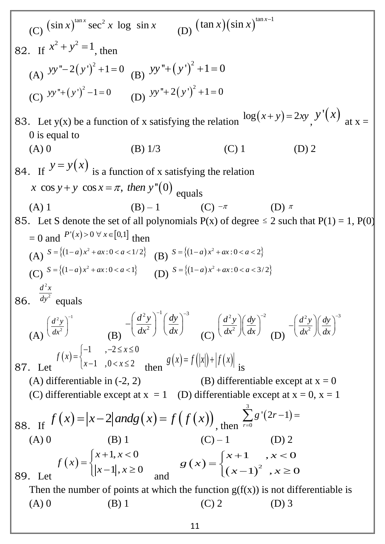(C)  $\left(\sin x\right)^{\tan x} \sec^2 x \log \sin x$ (D)  $(\tan x)(\sin x)^{\tan x-1}$ 82. If  $x^2 + y^2 = 1$ , then (A)  $yy'' - 2(y')^{2} + 1 = 0$ (B)  $yy'' + (y')^{2} + 1 = 0$ (C)  $yy''+(y')^2-1=0$ (D)  $yy'' + 2(y')^{2} + 1 = 0$ 83. Let y(x) be a function of x satisfying the relation  $\log(x+y) = 2xy$ ,  $y'(x)$ at  $x =$ 0 is equal to (A) 0 (B)  $1/3$  (C) 1 (D) 2 84. If  $y = y(x)$ is a function of x satisfying the relation If  $\lambda$  y is a function of x satisfying<br>x cos  $y + y \cos x = \pi$ , then  $y''(0)$  equals (A) 1 (B) – 1 (C)  $^{-\pi}$ (D)  $\pi$ 85. Let S denote the set of all polynomials  $P(x)$  of degree  $\leq 2$  such that  $P(1) = 1$ ,  $P(0)$  $= 0$  and  $P'(x) > 0 \forall x \in [0,1]$  then (A)  $S = \{(1-a)x^2 + ax : 0 < a < 1/2\}$  $S = \{(1-a)x^2 + ax : 0 < a < 1/2\}$  (B)  $S = \{(1-a)x^2 + ax : 0 < a < 2\}$  $S = \{(1-a)x^2 + ax : 0 < a < 2\}$ (C)  $S = \{(1-a)x^2 + ax : 0 < a < 1\}$  $S = \{(1-a)x^2 + ax : 0 < a < 1\}$  (D)  $S = \{(1-a)x^2 + ax : 0 < a < 3/2\}$  $S = \{(1-a)x^2 + ax : 0 < a < 3/2\}$ 86. 2 2  $d^2x$ *dy* equals (A)  $(2, 1)^{-1}$ 2  $d^2y$ *dx*  $\left(\frac{d^2y}{dx^2}\right)^{-1}$  (B)  $(2 \cdot)^{-1} (d \cdot)^{-3}$ 2  $d^2y\bigg)^{-1}$  *dy*  $\overline{dx^2}$   $\int dx$  $\int d^2y\bigg)^{-1}\bigg(dy\bigg)^{-3}$  $-\left(\frac{a^2}{dx^2}\right)\left(\frac{ay}{dx}\right)$  (C)  $(2 \cdot )$   $(4 \cdot )^{-2}$ 2  $d^2y \mid dy$  $dx^2 \nvert \int dx$  $\left(\frac{d^2y}{dx^2}\right)\left(\frac{dy}{dx}\right)^{-2}$  (D)  $(2 \cdot ) / (4 \cdot )^{-3}$ 2  $d^2y \mid dy$  $dx^2 \nvert \, dx$  $\int d^2y \left| \int dy \right|^{-3}$  $-\left(\frac{a}{dx^2}\right)\left(\frac{ay}{dx}\right)$ 87. Let  $(x)$ 1 ,  $-2 \le x \le 0$ 1,0  $0 < x \le 2$  $f(x) = \begin{cases} -1 & , -2 \leq x \\ 1 & , \end{cases}$  $x-1$ ,  $0 < x$  $\begin{bmatrix} -1 & -2 \leq x \leq 0 \end{bmatrix}$  $=\begin{cases} x-1, & 0 < x \leq 2 \end{cases}$  then  $g(x) = f(|x|) + |f(x)|$ is (A) differentiable in  $(-2, 2)$  (B) differentiable except at  $x = 0$ (C) differentiable except at  $x = 1$  (D) differentiable except at  $x = 0$ ,  $x = 1$ 88. If  $f(x) = |x-2|$  *andg*  $(x) = f(f(x))$ , then  $(2r-1)$ 3 0  $'(2r-1)$ *r g r*  $=$  $\sum s'(2r-1) =$ (A) 0 (B) 1 (C) – 1 89. Let  $(x)$  $1, x < 0$  $1, x \ge 0$  $x + 1$ , x *f x*  $x-1$ , x  $\int x+1, x<0$  $=\begin{cases} x+1, & x \ge 0 \\ |x-1|, & x \ge 0 \end{cases}$  and  $(x)$  $(x-1)^2$  $(2)$ <br>1,  $x < 0$  $\left(1\right)^2$ ,  $x \ge 0$  $x + 1$  , x *g x*  $(x-1)^2$ , x  $\int x+1$  ,  $x < 0$  $=\begin{cases}$  $\begin{cases} x+1, & x < 0 \\ (x-1)^2, & x \ge 0 \end{cases}$ Then the number of points at which the function  $g(f(x))$  is not differentiable is (A) 0 (B) 1 (C) 2 (D) 3